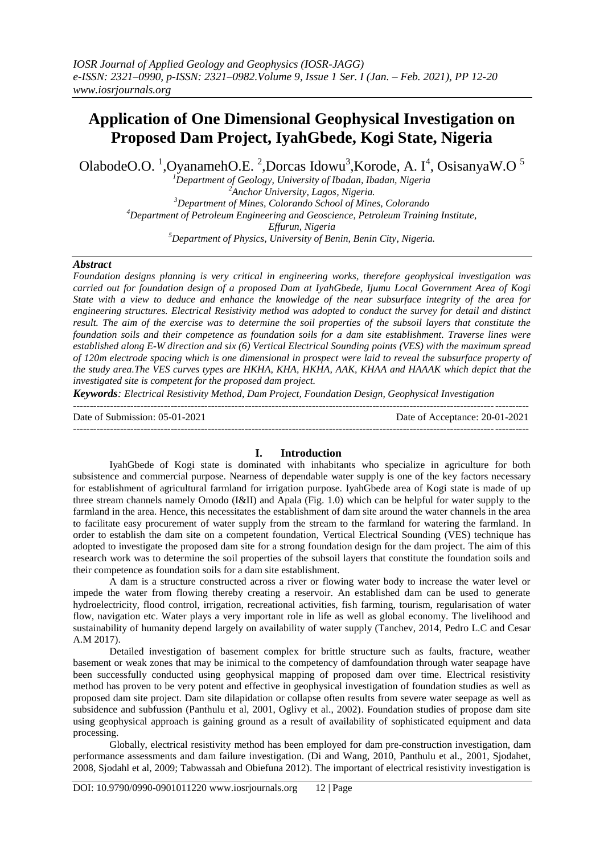# **Application of One Dimensional Geophysical Investigation on Proposed Dam Project, IyahGbede, Kogi State, Nigeria**

OlabodeO.O.  $^{1}$ , OyanamehO.E.  $^{2}$ , Dorcas Idowu<sup>3</sup>, Korode, A. I<sup>4</sup>, OsisanyaW.O<sup>5</sup>

*Department of Geology, University of Ibadan, Ibadan, Nigeria Anchor University, Lagos, Nigeria. Department of Mines, Colorando School of Mines, Colorando Department of Petroleum Engineering and Geoscience, Petroleum Training Institute, Effurun, Nigeria Department of Physics, University of Benin, Benin City, Nigeria.*

#### *Abstract*

*Foundation designs planning is very critical in engineering works, therefore geophysical investigation was carried out for foundation design of a proposed Dam at IyahGbede, Ijumu Local Government Area of Kogi State with a view to deduce and enhance the knowledge of the near subsurface integrity of the area for engineering structures. Electrical Resistivity method was adopted to conduct the survey for detail and distinct result. The aim of the exercise was to determine the soil properties of the subsoil layers that constitute the foundation soils and their competence as foundation soils for a dam site establishment. Traverse lines were established along E-W direction and six (6) Vertical Electrical Sounding points (VES) with the maximum spread of 120m electrode spacing which is one dimensional in prospect were laid to reveal the subsurface property of the study area.The VES curves types are HKHA, KHA, HKHA, AAK, KHAA and HAAAK which depict that the investigated site is competent for the proposed dam project.*

*Keywords: Electrical Resistivity Method, Dam Project, Foundation Design, Geophysical Investigation* ---------------------------------------------------------------------------------------------------------------------------------------

Date of Submission: 05-01-2021 Date of Acceptance: 20-01-2021

#### ---------------------------------------------------------------------------------------------------------------------------------------

#### **I. Introduction**

IyahGbede of Kogi state is dominated with inhabitants who specialize in agriculture for both subsistence and commercial purpose. Nearness of dependable water supply is one of the key factors necessary for establishment of agricultural farmland for irrigation purpose. IyahGbede area of Kogi state is made of up three stream channels namely Omodo (I&II) and Apala (Fig. 1.0) which can be helpful for water supply to the farmland in the area. Hence, this necessitates the establishment of dam site around the water channels in the area to facilitate easy procurement of water supply from the stream to the farmland for watering the farmland. In order to establish the dam site on a competent foundation, Vertical Electrical Sounding (VES) technique has adopted to investigate the proposed dam site for a strong foundation design for the dam project. The aim of this research work was to determine the soil properties of the subsoil layers that constitute the foundation soils and their competence as foundation soils for a dam site establishment.

A dam is a structure constructed across a river or flowing water body to increase the water level or impede the water from flowing thereby creating a reservoir. An established dam can be used to generate hydroelectricity, flood control, irrigation, recreational activities, fish farming, tourism, regularisation of water flow, navigation etc. Water plays a very important role in life as well as global economy. The livelihood and sustainability of humanity depend largely on availability of water supply (Tanchev, 2014, Pedro L.C and Cesar A.M 2017).

Detailed investigation of basement complex for brittle structure such as faults, fracture, weather basement or weak zones that may be inimical to the competency of damfoundation through water seapage have been successfully conducted using geophysical mapping of proposed dam over time. Electrical resistivity method has proven to be very potent and effective in geophysical investigation of foundation studies as well as proposed dam site project. Dam site dilapidation or collapse often results from severe water seepage as well as subsidence and subfussion (Panthulu et al, 2001, Oglivy et al., 2002). Foundation studies of propose dam site using geophysical approach is gaining ground as a result of availability of sophisticated equipment and data processing.

Globally, electrical resistivity method has been employed for dam pre-construction investigation, dam performance assessments and dam failure investigation. (Di and Wang, 2010, Panthulu et al., 2001, Sjodahet, 2008, Sjodahl et al, 2009; Tabwassah and Obiefuna 2012). The important of electrical resistivity investigation is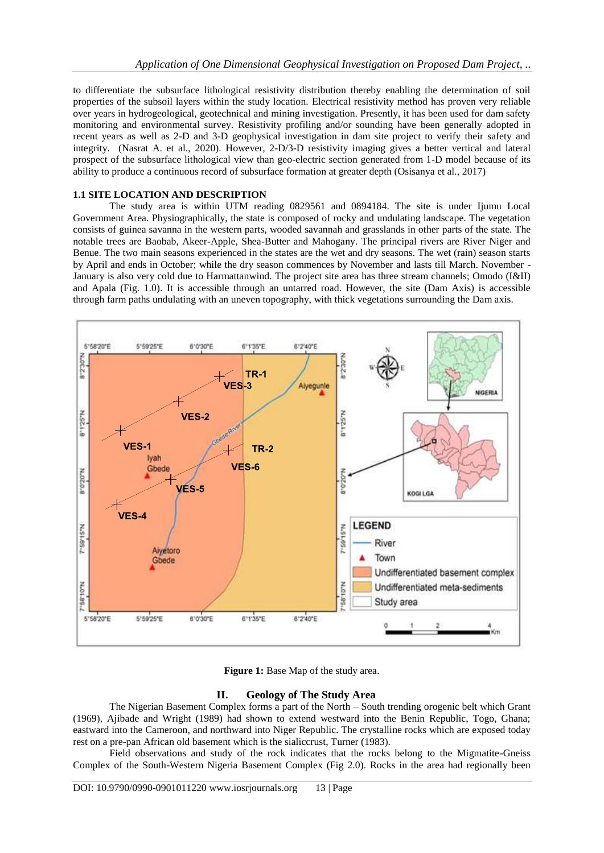to differentiate the subsurface lithological resistivity distribution thereby enabling the determination of soil properties of the subsoil layers within the study location. Electrical resistivity method has proven very reliable over years in hydrogeological, geotechnical and mining investigation. Presently, it has been used for dam safety monitoring and environmental survey. Resistivity profiling and/or sounding have been generally adopted in recent years as well as 2-D and 3-D geophysical investigation in dam site project to verify their safety and integrity. (Nasrat A. et al., 2020). However, 2-D/3-D resistivity imaging gives a better vertical and lateral prospect of the subsurface lithological view than geo-electric section generated from 1-D model because of its ability to produce a continuous record of subsurface formation at greater depth (Osisanya et al., 2017)

## **1.1 SITE LOCATION AND DESCRIPTION**

The study area is within UTM reading 0829561 and 0894184. The site is under Ijumu Local Government Area. Physiographically, the state is composed of rocky and undulating landscape. The vegetation consists of guinea savanna in the western parts, wooded savannah and grasslands in other parts of the state. The notable trees are Baobab, Akeer-Apple, Shea-Butter and Mahogany. The principal rivers are River Niger and Benue. The two main seasons experienced in the states are the wet and dry seasons. The wet (rain) season starts by April and ends in October; while the dry season commences by November and lasts till March. November - January is also very cold due to Harmattanwind. The project site area has three stream channels; Omodo (I&II) and Apala (Fig. 1.0). It is accessible through an untarred road. However, the site (Dam Axis) is accessible through farm paths undulating with an uneven topography, with thick vegetations surrounding the Dam axis.



**Figure 1:** Base Map of the study area.

# **II. Geology of The Study Area**

The Nigerian Basement Complex forms a part of the North – South trending orogenic belt which Grant (1969), Ajibade and Wright (1989) had shown to extend westward into the Benin Republic, Togo, Ghana; eastward into the Cameroon, and northward into Niger Republic. The crystalline rocks which are exposed today rest on a pre-pan African old basement which is the sialiccrust, Turner (1983).

Field observations and study of the rock indicates that the rocks belong to the Migmatite-Gneiss Complex of the South-Western Nigeria Basement Complex (Fig 2.0). Rocks in the area had regionally been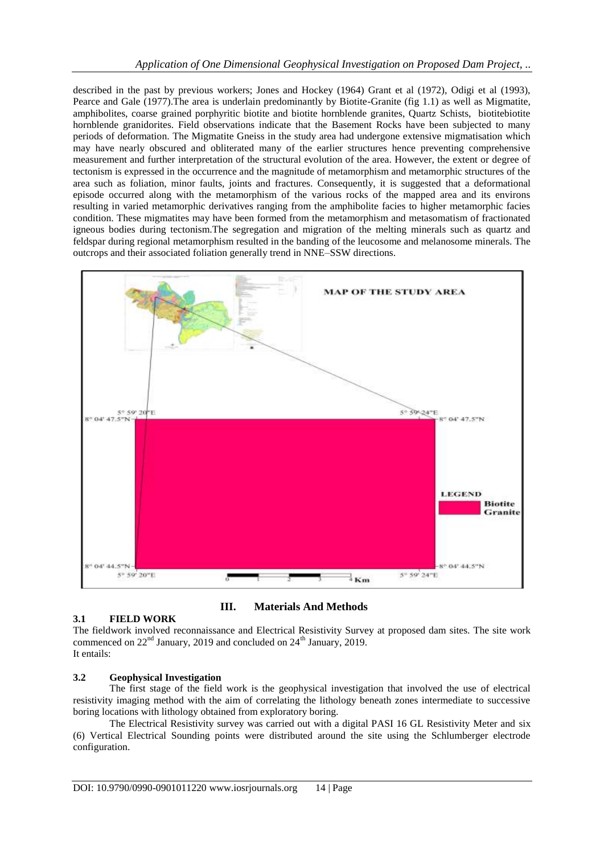described in the past by previous workers; Jones and Hockey (1964) Grant et al (1972), Odigi et al (1993), Pearce and Gale (1977).The area is underlain predominantly by Biotite-Granite (fig 1.1) as well as Migmatite, amphibolites, coarse grained porphyritic biotite and biotite hornblende granites, Quartz Schists, biotitebiotite hornblende granidorites. Field observations indicate that the Basement Rocks have been subjected to many periods of deformation. The Migmatite Gneiss in the study area had undergone extensive migmatisation which may have nearly obscured and obliterated many of the earlier structures hence preventing comprehensive measurement and further interpretation of the structural evolution of the area. However, the extent or degree of tectonism is expressed in the occurrence and the magnitude of metamorphism and metamorphic structures of the area such as foliation, minor faults, joints and fractures. Consequently, it is suggested that a deformational episode occurred along with the metamorphism of the various rocks of the mapped area and its environs resulting in varied metamorphic derivatives ranging from the amphibolite facies to higher metamorphic facies condition. These migmatites may have been formed from the metamorphism and metasomatism of fractionated igneous bodies during tectonism.The segregation and migration of the melting minerals such as quartz and feldspar during regional metamorphism resulted in the banding of the leucosome and melanosome minerals. The outcrops and their associated foliation generally trend in NNE–SSW directions.



#### **3.1 FIELD WORK**

**III. Materials And Methods**

The fieldwork involved reconnaissance and Electrical Resistivity Survey at proposed dam sites. The site work commenced on  $22<sup>nd</sup>$  January, 2019 and concluded on  $24<sup>th</sup>$  January, 2019. It entails:

# **3.2 Geophysical Investigation**

The first stage of the field work is the geophysical investigation that involved the use of electrical resistivity imaging method with the aim of correlating the lithology beneath zones intermediate to successive boring locations with lithology obtained from exploratory boring.

The Electrical Resistivity survey was carried out with a digital PASI 16 GL Resistivity Meter and six (6) Vertical Electrical Sounding points were distributed around the site using the Schlumberger electrode configuration.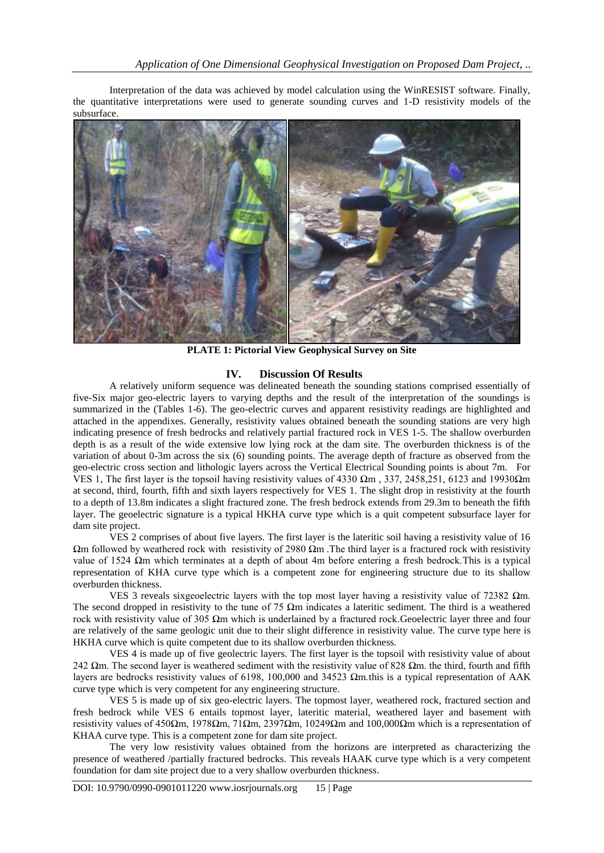Interpretation of the data was achieved by model calculation using the WinRESIST software. Finally, the quantitative interpretations were used to generate sounding curves and 1-D resistivity models of the subsurface.



**PLATE 1: Pictorial View Geophysical Survey on Site**

#### **IV. Discussion Of Results**

A relatively uniform sequence was delineated beneath the sounding stations comprised essentially of five-Six major geo-electric layers to varying depths and the result of the interpretation of the soundings is summarized in the (Tables 1-6). The geo-electric curves and apparent resistivity readings are highlighted and attached in the appendixes. Generally, resistivity values obtained beneath the sounding stations are very high indicating presence of fresh bedrocks and relatively partial fractured rock in VES 1-5. The shallow overburden depth is as a result of the wide extensive low lying rock at the dam site. The overburden thickness is of the variation of about 0-3m across the six (6) sounding points. The average depth of fracture as observed from the geo-electric cross section and lithologic layers across the Vertical Electrical Sounding points is about 7m. For VES 1, The first layer is the topsoil having resistivity values of 4330 Ωm, 337, 2458,251, 6123 and 19930Ωm at second, third, fourth, fifth and sixth layers respectively for VES 1. The slight drop in resistivity at the fourth to a depth of 13.8m indicates a slight fractured zone. The fresh bedrock extends from 29.3m to beneath the fifth layer. The geoelectric signature is a typical HKHA curve type which is a quit competent subsurface layer for dam site project.

VES 2 comprises of about five layers. The first layer is the lateritic soil having a resistivity value of 16 Ωm followed by weathered rock with resistivity of 2980 Ωm .The third layer is a fractured rock with resistivity value of 1524 Ωm which terminates at a depth of about 4m before entering a fresh bedrock.This is a typical representation of KHA curve type which is a competent zone for engineering structure due to its shallow overburden thickness.

VES 3 reveals sixgeoelectric layers with the top most layer having a resistivity value of 72382 Ωm. The second dropped in resistivity to the tune of 75  $\Omega$ m indicates a lateritic sediment. The third is a weathered rock with resistivity value of 305 Ωm which is underlained by a fractured rock.Geoelectric layer three and four are relatively of the same geologic unit due to their slight difference in resistivity value. The curve type here is HKHA curve which is quite competent due to its shallow overburden thickness.

VES 4 is made up of five geolectric layers. The first layer is the topsoil with resistivity value of about 242  $\Omega$ m. The second layer is weathered sediment with the resistivity value of 828  $\Omega$ m. the third, fourth and fifth layers are bedrocks resistivity values of 6198, 100,000 and 34523 Ωm.this is a typical representation of AAK curve type which is very competent for any engineering structure.

VES 5 is made up of six geo-electric layers. The topmost layer, weathered rock, fractured section and fresh bedrock while VES 6 entails topmost layer, lateritic material, weathered layer and basement with resistivity values of 450Ωm, 1978Ωm, 71Ωm, 2397Ωm, 10249Ωm and 100,000Ωm which is a representation of KHAA curve type. This is a competent zone for dam site project.

The very low resistivity values obtained from the horizons are interpreted as characterizing the presence of weathered /partially fractured bedrocks. This reveals HAAK curve type which is a very competent foundation for dam site project due to a very shallow overburden thickness.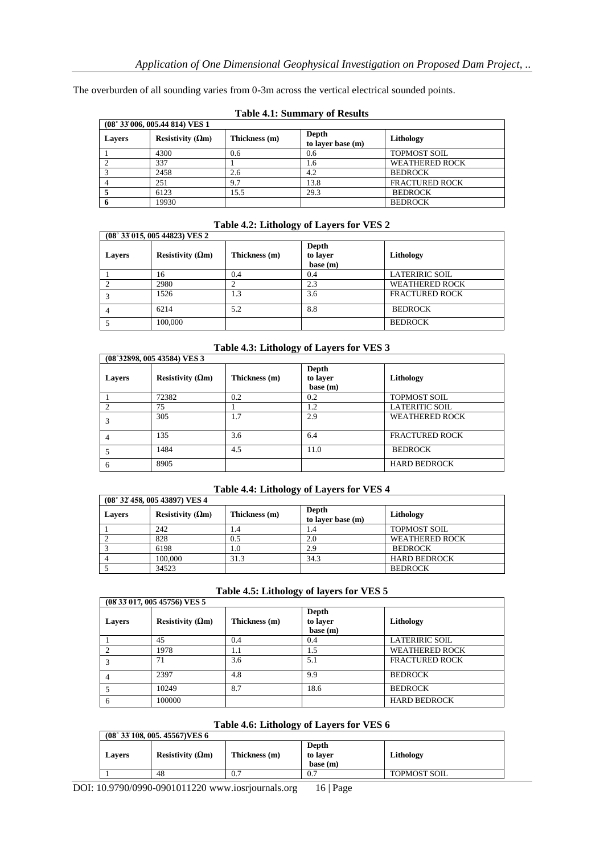The overburden of all sounding varies from 0-3m across the vertical electrical sounded points.

| (08° 33' 006, 005.44'814) VES 1 |                           |               |                            |                       |  |
|---------------------------------|---------------------------|---------------|----------------------------|-----------------------|--|
| <b>Lavers</b>                   | Resistivity ( $\Omega$ m) | Thickness (m) | Depth<br>to laver base (m) | Lithology             |  |
|                                 | 4300                      | 0.6           | 0.6                        | <b>TOPMOST SOIL</b>   |  |
|                                 | 337                       |               | 1.6                        | <b>WEATHERED ROCK</b> |  |
|                                 | 2458                      | 2.6           | 4.2                        | <b>BEDROCK</b>        |  |
|                                 | 251                       | 9.7           | 13.8                       | <b>FRACTURED ROCK</b> |  |
|                                 | 6123                      | 15.5          | 29.3                       | <b>BEDROCK</b>        |  |
|                                 | 19930                     |               |                            | <b>BEDROCK</b>        |  |

# **Table 4.1: Summary of Results**

# **Table 4.2: Lithology of Layers for VES 2**

| (08° 33' 015, 005' 44823) VES 2 |                           |               |                               |                       |  |
|---------------------------------|---------------------------|---------------|-------------------------------|-----------------------|--|
| <b>Lavers</b>                   | Resistivity ( $\Omega$ m) | Thickness (m) | Depth<br>to layer<br>base (m) | Lithology             |  |
|                                 | 16                        | 0.4           | 0.4                           | <b>LATERIRIC SOIL</b> |  |
|                                 | 2980                      |               | 2.3                           | <b>WEATHERED ROCK</b> |  |
|                                 | 1526                      | 1.3           | 3.6                           | <b>FRACTURED ROCK</b> |  |
|                                 | 6214                      | 5.2           | 8.8                           | <b>BEDROCK</b>        |  |
|                                 | 100,000                   |               |                               | <b>BEDROCK</b>        |  |

# **Table 4.3: Lithology of Layers for VES 3**

|               | (08°32898, 005 43584) VES 3 |               |                                      |                       |  |
|---------------|-----------------------------|---------------|--------------------------------------|-----------------------|--|
| <b>Layers</b> | Resistivity ( $\Omega$ m)   | Thickness (m) | <b>Depth</b><br>to laver<br>base (m) | Lithology             |  |
|               | 72382                       | 0.2           | 0.2                                  | <b>TOPMOST SOIL</b>   |  |
|               | 75                          |               | 1.2                                  | <b>LATERITIC SOIL</b> |  |
|               | 305                         | 1.7           | 2.9                                  | <b>WEATHERED ROCK</b> |  |
| 4             | 135                         | 3.6           | 6.4                                  | <b>FRACTURED ROCK</b> |  |
|               | 1484                        | 4.5           | 11.0                                 | <b>BEDROCK</b>        |  |
| 6             | 8905                        |               |                                      | <b>HARD BEDROCK</b>   |  |

# **Table 4.4: Lithology of Layers for VES 4**

| (08° 32' 458, 005' 43897) VES 4 |                          |               |                            |                       |  |
|---------------------------------|--------------------------|---------------|----------------------------|-----------------------|--|
| Lavers                          | Resistivity $(\Omega m)$ | Thickness (m) | Depth<br>to laver base (m) | Lithology             |  |
|                                 | 242                      | . 4           |                            | <b>TOPMOST SOIL</b>   |  |
|                                 | 828                      | 0.5           | 2.0                        | <b>WEATHERED ROCK</b> |  |
|                                 | 6198                     | 1.0           | 2.9                        | <b>BEDROCK</b>        |  |
|                                 | 100,000                  | 31.3          | 34.3                       | <b>HARD BEDROCK</b>   |  |
|                                 | 34523                    |               |                            | <b>BEDROCK</b>        |  |

| Table 4.5: Lithology of layers for VES 5 |  |  |
|------------------------------------------|--|--|
|------------------------------------------|--|--|

| (08 33 017, 005 45756) VES 5 |                           |               |                               |                       |  |
|------------------------------|---------------------------|---------------|-------------------------------|-----------------------|--|
| <b>Layers</b>                | Resistivity ( $\Omega$ m) | Thickness (m) | Depth<br>to layer<br>base (m) | Lithology             |  |
|                              | 45                        | 0.4           | 0.4                           | <b>LATERIRIC SOIL</b> |  |
|                              | 1978                      | 1.1           | 1.5                           | <b>WEATHERED ROCK</b> |  |
|                              | 71                        | 3.6           | 5.1                           | <b>FRACTURED ROCK</b> |  |
|                              | 2397                      | 4.8           | 9.9                           | <b>BEDROCK</b>        |  |
|                              | 10249                     | 8.7           | 18.6                          | <b>BEDROCK</b>        |  |
|                              | 100000                    |               |                               | <b>HARD BEDROCK</b>   |  |

# **Table 4.6: Lithology of Layers for VES 6**

| $(08° 33' 108, 005, 45567)$ VES 6 |                           |               |                               |                     |
|-----------------------------------|---------------------------|---------------|-------------------------------|---------------------|
| <b>Lavers</b>                     | Resistivity ( $\Omega$ m) | Thickness (m) | Depth<br>to laver<br>base (m) | Lithology           |
|                                   | 48                        | 0.7           | 0.7                           | <b>TOPMOST SOIL</b> |

DOI: 10.9790/0990-0901011220 www.iosrjournals.org 16 | Page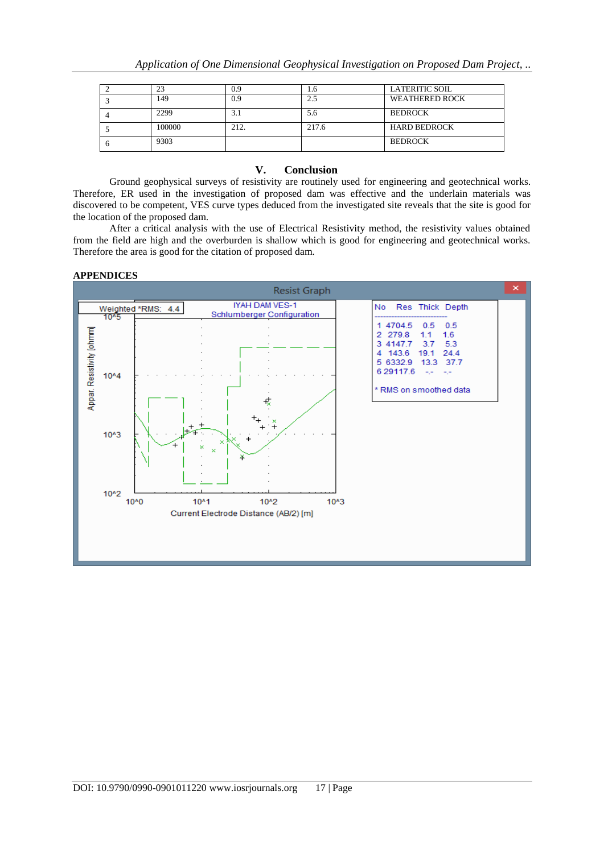|        |      | L.N   | <b>LATERITIC SOIL</b> |
|--------|------|-------|-----------------------|
| 149    | 0.9  |       | <b>WEATHERED ROCK</b> |
| 2299   |      | 5.6   | <b>BEDROCK</b>        |
| 100000 | 212. | 217.6 | <b>HARD BEDROCK</b>   |
| 9303   |      |       | <b>BEDROCK</b>        |

#### **V. Conclusion**

Ground geophysical surveys of resistivity are routinely used for engineering and geotechnical works. Therefore, ER used in the investigation of proposed dam was effective and the underlain materials was discovered to be competent, VES curve types deduced from the investigated site reveals that the site is good for the location of the proposed dam.

After a critical analysis with the use of Electrical Resistivity method, the resistivity values obtained from the field are high and the overburden is shallow which is good for engineering and geotechnical works. Therefore the area is good for the citation of proposed dam.

#### **APPENDICES**

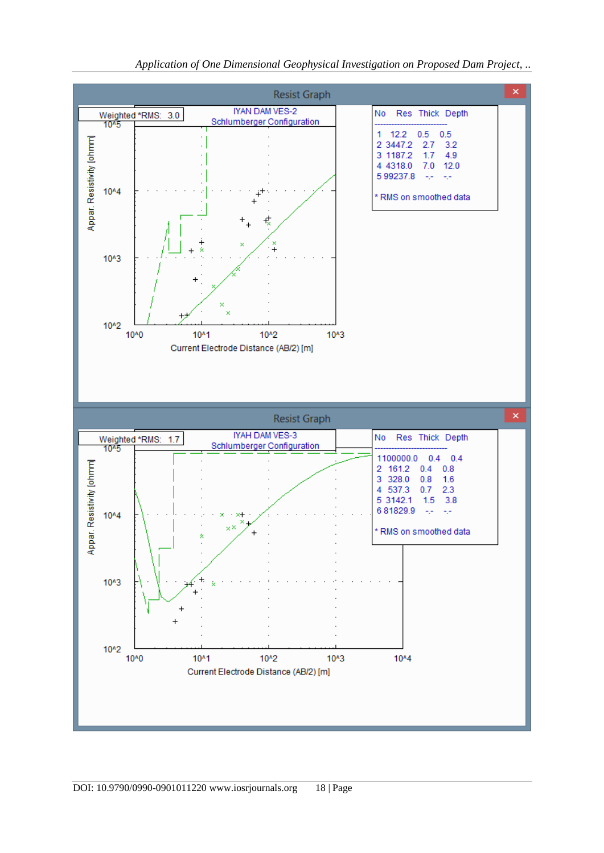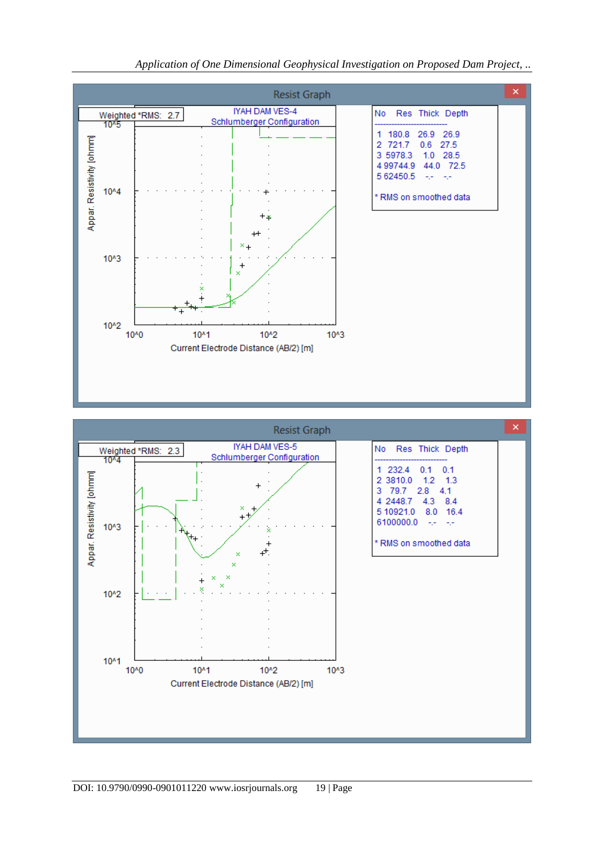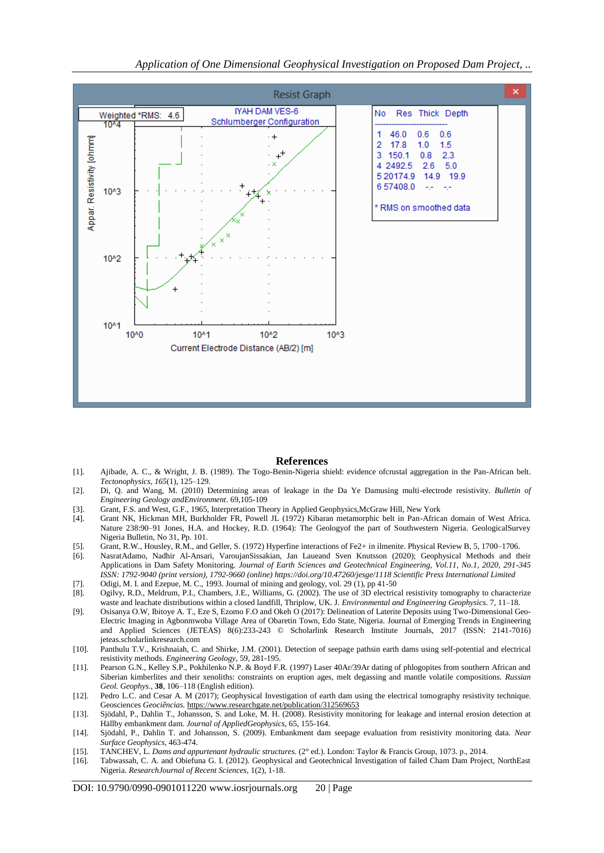

#### **References**

- [1]. Ajibade, A. C., & Wright, J. B. (1989). The Togo-Benin-Nigeria shield: evidence ofcrustal aggregation in the Pan-African belt. *Tectonophysics*, *165*(1), 125–129.
- [2]. Di, Q. and Wang, M. (2010) Determining areas of leakage in the Da Ye Damusing multi-electrode resistivity. *Bulletin of Engineering Geology andEnvironment*. 69,105-109
- [3]. Grant, F.S. and West, G.F., 1965, Interpretation Theory in Applied Geophysics,McGraw Hill, New York
- [4]. Grant NK, Hickman MH, Burkholder FR, Powell JL (1972) Kibaran metamorphic belt in Pan-African domain of West Africa. Nature 238:90–91 Jones, H.A. and Hockey, R.D. (1964): The Geologyof the part of Southwestern Nigeria. GeologicalSurvey Nigeria Bulletin, No 31, Pp. 101.
- [5]. Grant, R.W., Housley, R.M., and Geller, S. (1972) Hyperfine interactions of Fe2+ in ilmenite. Physical Review B, 5, 1700–1706.
- [6]. NasratAdamo, Nadhir Al-Ansari, VaroujanSissakian, Jan Laueand Sven Knutsson (2020); Geophysical Methods and their Applications in Dam Safety Monitoring. *Journal of Earth Sciences and Geotechnical Engineering, Vol.11, No.1, 2020, 291-345 ISSN: 1792-9040 (print version), 1792-9660 (online) https://doi.org/10.47260/jesge/1118 Scientific Press International Limited* [7]. Odigi, M. I. and Ezepue, M. C., 1993. Journal of mining and geology, vol. 29 (1), pp 41-50
- [8]. Ogilvy, R.D., Meldrum, P.I., Chambers, J.E., Williams, G. (2002). The use of 3D electrical resistivity tomography to characterize waste and leachate distributions within a closed landfill, Thriplow, UK. J*. Environmental and Engineering Geophysics*. 7, 11–18.
- [9]. Osisanya O.W, Ibitoye A. T., Eze S, Ezomo F.O and Okeh O (2017): Delineation of Laterite Deposits using Two-Dimensional Geo-Electric Imaging in Agbonmwoba Village Area of Obaretin Town, Edo State, Nigeria. Journal of Emerging Trends in Engineering and Applied Sciences (JETEAS) 8(6):233-243 © Scholarlink Research Institute Journals, 2017 (ISSN: 2141-7016) jeteas.scholarlinkresearch.com
- [10]. Panthulu T.V., Krishnaiah, C. and Shirke, J.M. (2001). Detection of seepage pathsin earth dams using self-potential and electrical resistivity methods. *Engineering Geology*, 59, 281-195.
- [11]. Pearson G.N., Kelley S.P., Pokhilenko N.P. & Boyd F.R. (1997) Laser 40Ar/39Ar dating of phlogopites from southern African and Siberian kimberlites and their xenoliths: constraints on eruption ages, melt degassing and mantle volatile compositions. *Russian Geol. Geophys.*, **38**, 106–118 (English edition).
- [12]. Pedro L.C. and Cesar A. M (2017); Geophysical Investigation of earth dam using the electrical tomography resistivity technique. Geosciences *Geociências.* <https://www.researchgate.net/publication/312569653>
- [13]. Sjödahl, P., Dahlin T., Johansson, S. and Loke, M. H. (2008). Resistivity monitoring for leakage and internal erosion detection at Hällby embankment dam. *Journal of AppliedGeophysics*, 65, 155-164.
- [14]. Sjödahl, P., Dahlin T. and Johansson, S. (2009). Embankment dam seepage evaluation from resistivity monitoring data. *Near Surface Geophysics,* 463-474.
- [15]. TANCHEV, L. *Dams and appurtenant hydraulic structures.* (2° ed.). London: Taylor & Francis Group, 1073. p., 2014.
- [16]. Tabwassah, C. A. and Obiefuna G. I. (2012). Geophysical and Geotechnical Investigation of failed Cham Dam Project, NorthEast Nigeria. *ResearchJournal of Recent Sciences*, 1(2), 1-18.

DOI: 10.9790/0990-0901011220 www.iosrjournals.org 20 | Page